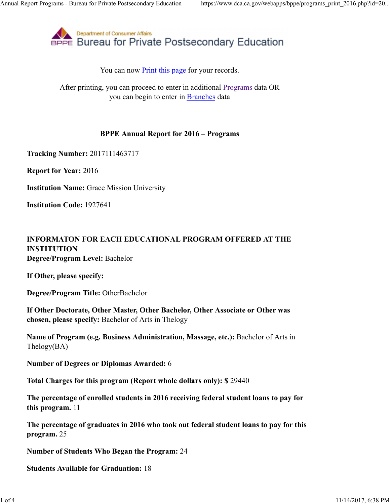

You can now Print this page for your records.

After printing, you can proceed to enter in additional Programs data OR you can begin to enter in Branches data

## **BPPE Annual Report for 2016 – Programs**

**Tracking Number:** 2017111463717

**Report for Year:** 2016

**Institution Name:** Grace Mission University

**Institution Code:** 1927641

## **INFORMATON FOR EACH EDUCATIONAL PROGRAM OFFERED AT THE INSTITUTION Degree/Program Level:** Bachelor

**If Other, please specify:**

**Degree/Program Title:** OtherBachelor

**If Other Doctorate, Other Master, Other Bachelor, Other Associate or Other was chosen, please specify:** Bachelor of Arts in Thelogy

**Name of Program (e.g. Business Administration, Massage, etc.):** Bachelor of Arts in Thelogy(BA)

**Number of Degrees or Diplomas Awarded:** 6

**Total Charges for this program (Report whole dollars only): \$** 29440

**The percentage of enrolled students in 2016 receiving federal student loans to pay for this program.** 11

**The percentage of graduates in 2016 who took out federal student loans to pay for this program.** 25

**Number of Students Who Began the Program:** 24

**Students Available for Graduation:** 18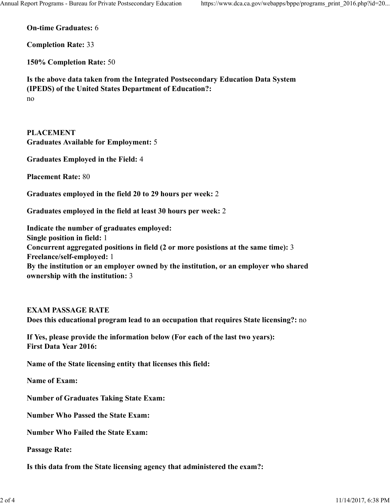**On-time Graduates:** 6

**Completion Rate:** 33

**150% Completion Rate:** 50

**Is the above data taken from the Integrated Postsecondary Education Data System (IPEDS) of the United States Department of Education?:** no

# **PLACEMENT**

**Graduates Available for Employment:** 5

**Graduates Employed in the Field:** 4

**Placement Rate:** 80

**Graduates employed in the field 20 to 29 hours per week:** 2

**Graduates employed in the field at least 30 hours per week:** 2

**Indicate the number of graduates employed: Single position in field:** 1 **Concurrent aggregated positions in field (2 or more posistions at the same time):** 3 **Freelance/self-employed:** 1 **By the institution or an employer owned by the institution, or an employer who shared ownership with the institution:** 3

# **EXAM PASSAGE RATE Does this educational program lead to an occupation that requires State licensing?:** no

**If Yes, please provide the information below (For each of the last two years): First Data Year 2016:**

**Name of the State licensing entity that licenses this field:**

**Name of Exam:**

**Number of Graduates Taking State Exam:**

**Number Who Passed the State Exam:**

**Number Who Failed the State Exam:**

#### **Passage Rate:**

**Is this data from the State licensing agency that administered the exam?:**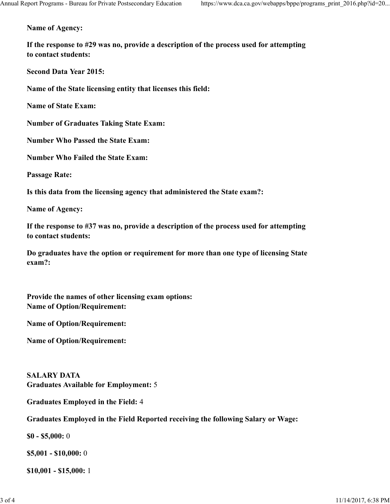**Name of Agency:**

**If the response to #29 was no, provide a description of the process used for attempting to contact students:**

**Second Data Year 2015:**

**Name of the State licensing entity that licenses this field:**

**Name of State Exam:**

**Number of Graduates Taking State Exam:**

**Number Who Passed the State Exam:**

**Number Who Failed the State Exam:**

**Passage Rate:**

**Is this data from the licensing agency that administered the State exam?:**

**Name of Agency:**

**If the response to #37 was no, provide a description of the process used for attempting to contact students:**

**Do graduates have the option or requirement for more than one type of licensing State exam?:**

**Provide the names of other licensing exam options: Name of Option/Requirement:**

**Name of Option/Requirement:**

**Name of Option/Requirement:**

**SALARY DATA Graduates Available for Employment:** 5

**Graduates Employed in the Field:** 4

**Graduates Employed in the Field Reported receiving the following Salary or Wage:**

**\$0 - \$5,000:** 0

**\$5,001 - \$10,000:** 0

**\$10,001 - \$15,000:** 1